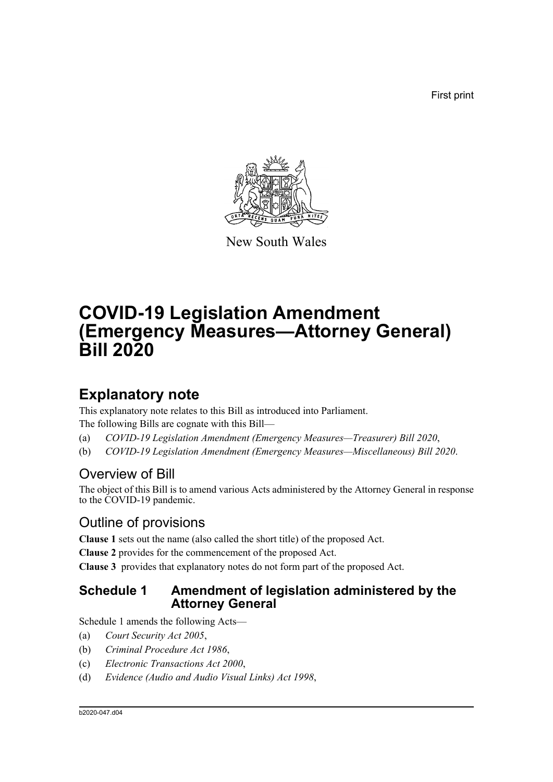First print



New South Wales

# **COVID-19 Legislation Amendment (Emergency Measures—Attorney General) Bill 2020**

# **Explanatory note**

This explanatory note relates to this Bill as introduced into Parliament. The following Bills are cognate with this Bill—

- (a) *COVID-19 Legislation Amendment (Emergency Measures—Treasurer) Bill 2020*,
- (b) *COVID-19 Legislation Amendment (Emergency Measures—Miscellaneous) Bill 2020*.

# Overview of Bill

The object of this Bill is to amend various Acts administered by the Attorney General in response to the COVID-19 pandemic.

# Outline of provisions

**Clause 1** sets out the name (also called the short title) of the proposed Act.

**Clause 2** provides for the commencement of the proposed Act.

**Clause 3** provides that explanatory notes do not form part of the proposed Act.

## **Schedule 1 Amendment of legislation administered by the Attorney General**

Schedule 1 amends the following Acts—

- (a) *Court Security Act 2005*,
- (b) *Criminal Procedure Act 1986*,
- (c) *Electronic Transactions Act 2000*,
- (d) *Evidence (Audio and Audio Visual Links) Act 1998*,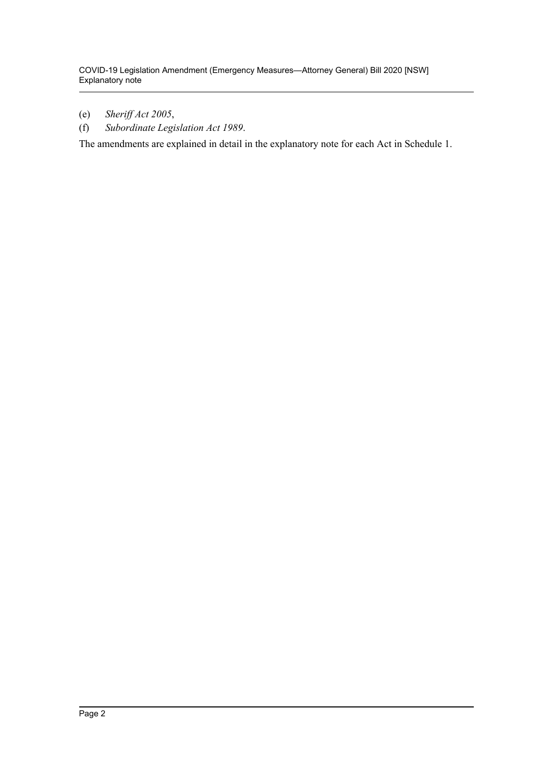- (e) *Sheriff Act 2005*,
- (f) *Subordinate Legislation Act 1989*.

The amendments are explained in detail in the explanatory note for each Act in Schedule 1.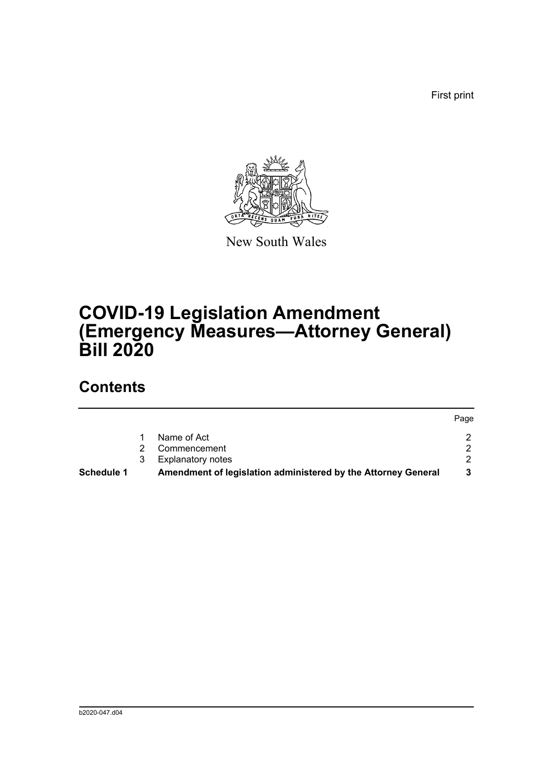First print



New South Wales

# **COVID-19 Legislation Amendment (Emergency Measures—Attorney General) Bill 2020**

# **Contents**

|            |   |                                                               | Page          |
|------------|---|---------------------------------------------------------------|---------------|
|            |   | Name of Act                                                   |               |
|            |   | Commencement                                                  | $\mathcal{P}$ |
|            | 3 | <b>Explanatory notes</b>                                      | ົ             |
| Schedule 1 |   | Amendment of legislation administered by the Attorney General |               |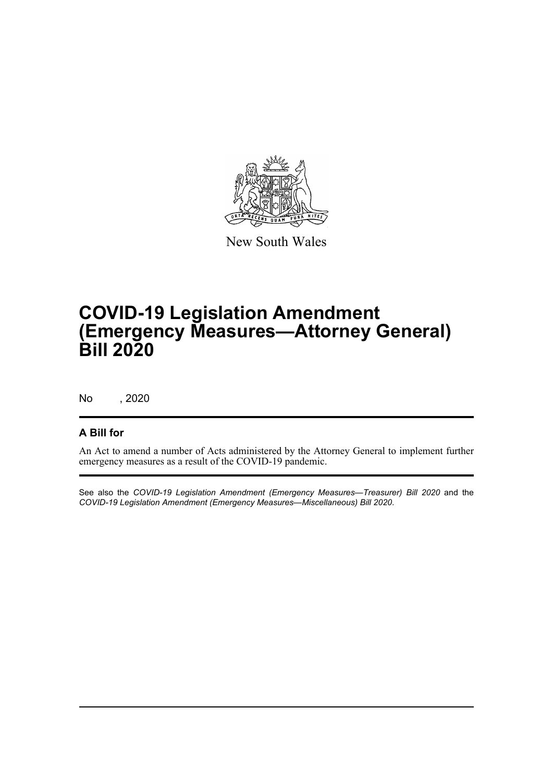

New South Wales

# **COVID-19 Legislation Amendment (Emergency Measures—Attorney General) Bill 2020**

No , 2020

## **A Bill for**

An Act to amend a number of Acts administered by the Attorney General to implement further emergency measures as a result of the COVID-19 pandemic.

See also the *COVID-19 Legislation Amendment (Emergency Measures—Treasurer) Bill 2020* and the *COVID-19 Legislation Amendment (Emergency Measures—Miscellaneous) Bill 2020*.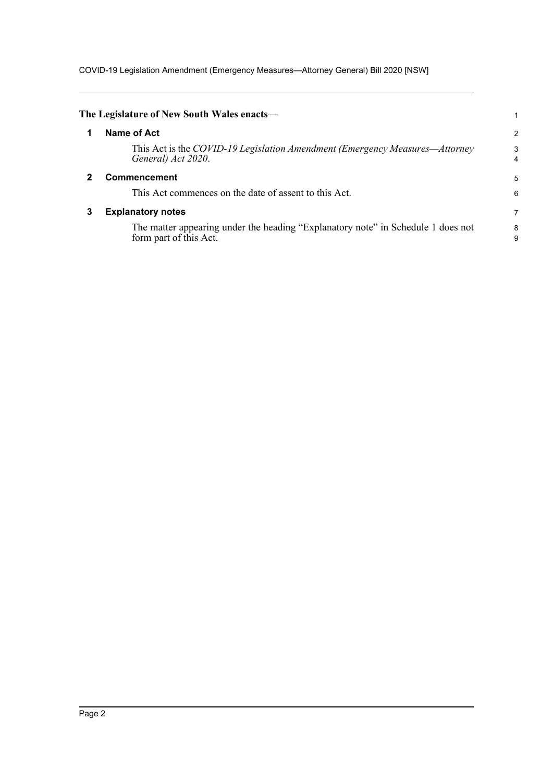COVID-19 Legislation Amendment (Emergency Measures—Attorney General) Bill 2020 [NSW]

<span id="page-4-2"></span><span id="page-4-1"></span><span id="page-4-0"></span>

|   | The Legislature of New South Wales enacts-                                                                 |        |
|---|------------------------------------------------------------------------------------------------------------|--------|
|   | Name of Act                                                                                                | 2      |
|   | This Act is the COVID-19 Legislation Amendment (Emergency Measures—Attorney<br>General) Act 2020.          | 3<br>4 |
|   | Commencement                                                                                               | 5      |
|   | This Act commences on the date of assent to this Act.                                                      | 6      |
| 3 | <b>Explanatory notes</b>                                                                                   | 7      |
|   | The matter appearing under the heading "Explanatory note" in Schedule 1 does not<br>form part of this Act. | 8<br>9 |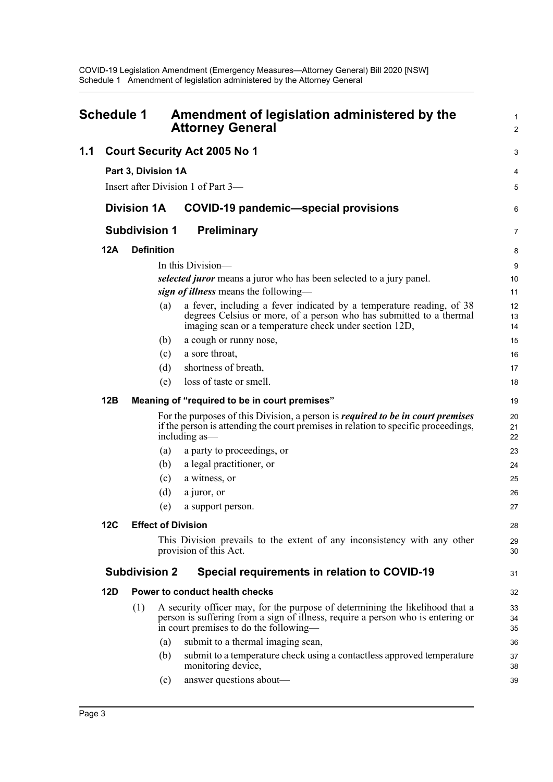<span id="page-5-0"></span>

| Schedule 1 |                                     |                      | Amendment of legislation administered by the<br><b>Attorney General</b>                                                                                                                                   |                |
|------------|-------------------------------------|----------------------|-----------------------------------------------------------------------------------------------------------------------------------------------------------------------------------------------------------|----------------|
| 1.1        | <b>Court Security Act 2005 No 1</b> |                      |                                                                                                                                                                                                           |                |
|            |                                     | Part 3, Division 1A  |                                                                                                                                                                                                           | 4              |
|            |                                     |                      | Insert after Division 1 of Part 3—                                                                                                                                                                        | 5              |
|            |                                     | <b>Division 1A</b>   | <b>COVID-19 pandemic-special provisions</b>                                                                                                                                                               | 6              |
|            | <b>Subdivision 1</b>                |                      | Preliminary                                                                                                                                                                                               |                |
|            | <b>12A</b>                          | <b>Definition</b>    |                                                                                                                                                                                                           | 8              |
|            |                                     |                      | In this Division—                                                                                                                                                                                         | 9              |
|            |                                     |                      | selected juror means a juror who has been selected to a jury panel.                                                                                                                                       | 10             |
|            |                                     |                      | sign of illness means the following—                                                                                                                                                                      | 11             |
|            |                                     | (a)                  | a fever, including a fever indicated by a temperature reading, of 38<br>degrees Celsius or more, of a person who has submitted to a thermal<br>imaging scan or a temperature check under section 12D,     | 12<br>13<br>14 |
|            |                                     | (b)                  | a cough or runny nose,                                                                                                                                                                                    | 15             |
|            |                                     | (c)                  | a sore throat,                                                                                                                                                                                            | 16             |
|            |                                     | (d)                  | shortness of breath,                                                                                                                                                                                      | 17             |
|            |                                     | (e)                  | loss of taste or smell.                                                                                                                                                                                   | 18             |
|            | 12B                                 |                      | Meaning of "required to be in court premises"                                                                                                                                                             | 19             |
|            |                                     |                      | For the purposes of this Division, a person is <i>required to be in court premises</i><br>if the person is attending the court premises in relation to specific proceedings,<br>including as—             | 20<br>21<br>22 |
|            |                                     | (a)                  | a party to proceedings, or                                                                                                                                                                                | 23             |
|            |                                     | (b)                  | a legal practitioner, or                                                                                                                                                                                  | 24             |
|            |                                     | (c)                  | a witness, or                                                                                                                                                                                             | 25             |
|            |                                     | (d)                  | a juror, or                                                                                                                                                                                               | 26             |
|            |                                     | (e)                  | a support person.                                                                                                                                                                                         | 27             |
|            | 12C                                 |                      | <b>Effect of Division</b>                                                                                                                                                                                 | 28             |
|            |                                     |                      | This Division prevails to the extent of any inconsistency with any other<br>provision of this Act.                                                                                                        | 29<br>30       |
|            |                                     | <b>Subdivision 2</b> | Special requirements in relation to COVID-19                                                                                                                                                              | 31             |
|            | <b>12D</b>                          |                      | Power to conduct health checks                                                                                                                                                                            | 32             |
|            |                                     | (1)                  | A security officer may, for the purpose of determining the likelihood that a<br>person is suffering from a sign of illness, require a person who is entering or<br>in court premises to do the following— | 33<br>34<br>35 |
|            |                                     | (a)                  | submit to a thermal imaging scan,                                                                                                                                                                         | 36             |
|            |                                     | (b)                  | submit to a temperature check using a contactless approved temperature<br>monitoring device,                                                                                                              | 37<br>38       |
|            |                                     | (c)                  | answer questions about—                                                                                                                                                                                   | 39             |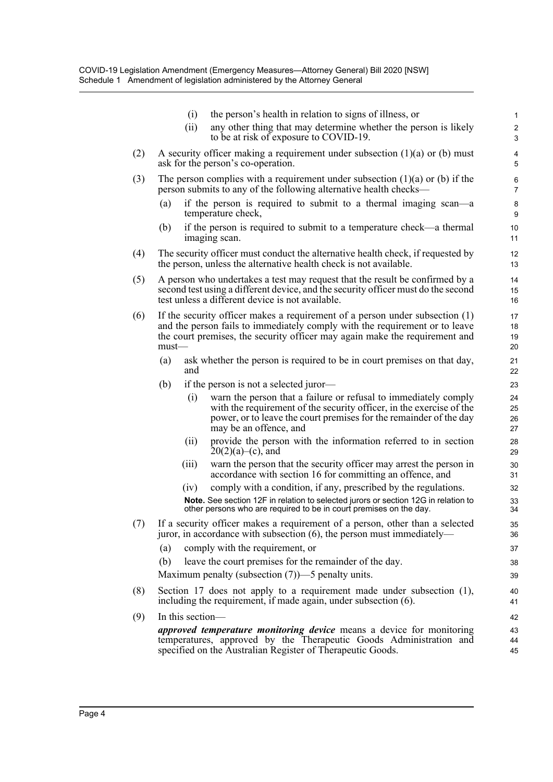|     | the person's health in relation to signs of illness, or<br>(i)                                                                                                                                                                                           | $\mathbf{1}$                     |
|-----|----------------------------------------------------------------------------------------------------------------------------------------------------------------------------------------------------------------------------------------------------------|----------------------------------|
|     | any other thing that may determine whether the person is likely<br>(ii)<br>to be at risk of exposure to COVID-19.                                                                                                                                        | $\boldsymbol{2}$<br>$\mathbf{3}$ |
| (2) | A security officer making a requirement under subsection $(1)(a)$ or (b) must<br>ask for the person's co-operation.                                                                                                                                      | $\overline{\mathbf{4}}$<br>5     |
| (3) | The person complies with a requirement under subsection $(1)(a)$ or $(b)$ if the<br>person submits to any of the following alternative health checks—                                                                                                    | 6<br>7                           |
|     | if the person is required to submit to a thermal imaging scan—a<br>(a)<br>temperature check,                                                                                                                                                             | 8<br>9                           |
|     | if the person is required to submit to a temperature check—a thermal<br>(b)<br>imaging scan.                                                                                                                                                             | 10<br>11                         |
| (4) | The security officer must conduct the alternative health check, if requested by<br>the person, unless the alternative health check is not available.                                                                                                     | 12<br>13                         |
| (5) | A person who undertakes a test may request that the result be confirmed by a<br>second test using a different device, and the security officer must do the second<br>test unless a different device is not available.                                    | 14<br>15<br>16                   |
| (6) | If the security officer makes a requirement of a person under subsection $(1)$<br>and the person fails to immediately comply with the requirement or to leave<br>the court premises, the security officer may again make the requirement and<br>$must$ — | 17<br>18<br>19<br>20             |
|     | ask whether the person is required to be in court premises on that day,<br>(a)<br>and                                                                                                                                                                    | 21<br>22                         |
|     | (b)<br>if the person is not a selected juror—                                                                                                                                                                                                            | 23                               |
|     | warn the person that a failure or refusal to immediately comply<br>(i)<br>with the requirement of the security officer, in the exercise of the<br>power, or to leave the court premises for the remainder of the day<br>may be an offence, and           | 24<br>25<br>26<br>27             |
|     | provide the person with the information referred to in section<br>(ii)<br>$20(2)(a)$ –(c), and                                                                                                                                                           | 28<br>29                         |
|     | warn the person that the security officer may arrest the person in<br>(iii)<br>accordance with section 16 for committing an offence, and                                                                                                                 | 30<br>31                         |
|     | comply with a condition, if any, prescribed by the regulations.<br>(iv)                                                                                                                                                                                  | 32                               |
|     | Note. See section 12F in relation to selected jurors or section 12G in relation to<br>other persons who are required to be in court premises on the day.                                                                                                 | 33<br>34                         |
| (7) | If a security officer makes a requirement of a person, other than a selected<br>juror, in accordance with subsection $(6)$ , the person must immediately—                                                                                                | 35<br>36                         |
|     | comply with the requirement, or<br>(a)                                                                                                                                                                                                                   | 37                               |
|     | (b)<br>leave the court premises for the remainder of the day.                                                                                                                                                                                            | 38                               |
|     | Maximum penalty (subsection $(7)$ )—5 penalty units.                                                                                                                                                                                                     | 39                               |
| (8) | Section 17 does not apply to a requirement made under subsection (1),<br>including the requirement, if made again, under subsection (6).                                                                                                                 | 40<br>41                         |
| (9) | In this section-                                                                                                                                                                                                                                         | 42                               |
|     | <i>approved temperature monitoring device</i> means a device for monitoring<br>temperatures, approved by the Therapeutic Goods Administration and<br>specified on the Australian Register of Therapeutic Goods.                                          | 43<br>44<br>45                   |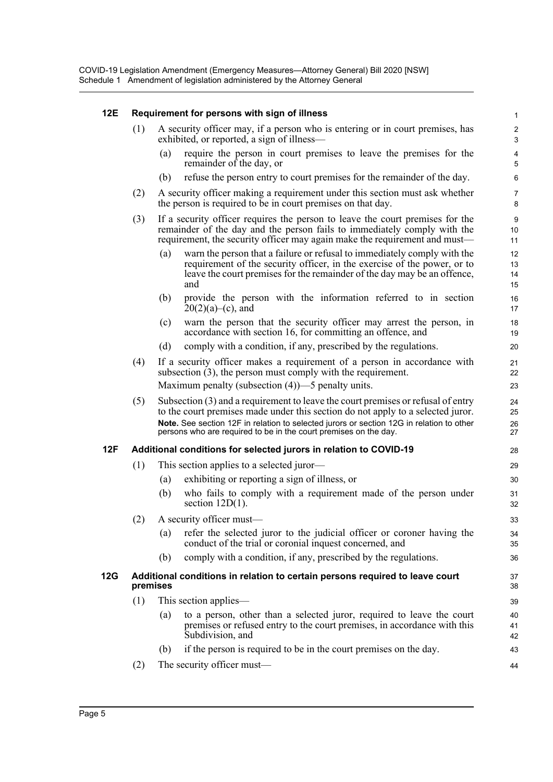### **12E Requirement for persons with sign of illness**

- (1) A security officer may, if a person who is entering or in court premises, has exhibited, or reported, a sign of illness—
	- (a) require the person in court premises to leave the premises for the remainder of the day, or

- (b) refuse the person entry to court premises for the remainder of the day.
- (2) A security officer making a requirement under this section must ask whether the person is required to be in court premises on that day.
- (3) If a security officer requires the person to leave the court premises for the remainder of the day and the person fails to immediately comply with the requirement, the security officer may again make the requirement and must—
	- (a) warn the person that a failure or refusal to immediately comply with the requirement of the security officer, in the exercise of the power, or to leave the court premises for the remainder of the day may be an offence, and
	- (b) provide the person with the information referred to in section  $20(2)(a)$ –(c), and
	- (c) warn the person that the security officer may arrest the person, in accordance with section 16, for committing an offence, and
	- (d) comply with a condition, if any, prescribed by the regulations.
- (4) If a security officer makes a requirement of a person in accordance with subsection (3), the person must comply with the requirement. Maximum penalty (subsection (4))—5 penalty units.
- (5) Subsection (3) and a requirement to leave the court premises or refusal of entry to the court premises made under this section do not apply to a selected juror. **Note.** See section 12F in relation to selected jurors or section 12G in relation to other persons who are required to be in the court premises on the day.

#### **12F Additional conditions for selected jurors in relation to COVID-19**

- (1) This section applies to a selected juror—
	- (a) exhibiting or reporting a sign of illness, or
	- (b) who fails to comply with a requirement made of the person under section 12D(1).
- (2) A security officer must—
	- (a) refer the selected juror to the judicial officer or coroner having the conduct of the trial or coronial inquest concerned, and
	- (b) comply with a condition, if any, prescribed by the regulations.

#### **12G Additional conditions in relation to certain persons required to leave court premises**

- (1) This section applies—
	- (a) to a person, other than a selected juror, required to leave the court premises or refused entry to the court premises, in accordance with this Subdivision, and
	- (b) if the person is required to be in the court premises on the day.
- (2) The security officer must—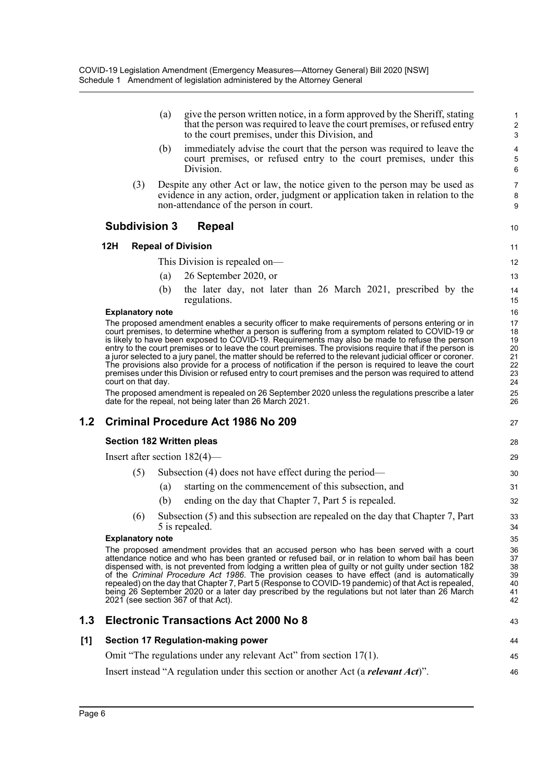| give the person written notice, in a form approved by the Sheriff, stating<br>that the person was required to leave the court premises, or refused entry<br>to the court premises, under this Division, and |
|-------------------------------------------------------------------------------------------------------------------------------------------------------------------------------------------------------------|
| (b) immediately advise the court that the person was required to leave the                                                                                                                                  |

10

27

43 44

46

- (b) immediately advise the court that the person was required to leave the court premises, or refused entry to the court premises, under this Division.
- (3) Despite any other Act or law, the notice given to the person may be used as evidence in any action, order, judgment or application taken in relation to the non-attendance of the person in court.

### **Subdivision 3 Repeal**

### **12H Repeal of Division**

This Division is repealed on—

- (a) 26 September 2020, or
- (b) the later day, not later than 26 March 2021, prescribed by the regulations.

#### **Explanatory note**

The proposed amendment enables a security officer to make requirements of persons entering or in court premises, to determine whether a person is suffering from a symptom related to COVID-19 or is likely to have been exposed to COVID-19. Requirements may also be made to refuse the person entry to the court premises or to leave the court premises. The provisions require that if the person is a juror selected to a jury panel, the matter should be referred to the relevant judicial officer or coroner. The provisions also provide for a process of notification if the person is required to leave the court premises under this Division or refused entry to court premises and the person was required to attend court on that day.

The proposed amendment is repealed on 26 September 2020 unless the regulations prescribe a later date for the repeal, not being later than 26 March 2021.

## **1.2 Criminal Procedure Act 1986 No 209**

#### **Section 182 Written pleas**

Insert after section 182(4)—

- (5) Subsection (4) does not have effect during the period—
	- (a) starting on the commencement of this subsection, and
	- (b) ending on the day that Chapter 7, Part 5 is repealed.
- (6) Subsection (5) and this subsection are repealed on the day that Chapter 7, Part 5 is repealed.

#### **Explanatory note**

The proposed amendment provides that an accused person who has been served with a court attendance notice and who has been granted or refused bail, or in relation to whom bail has been dispensed with, is not prevented from lodging a written plea of guilty or not guilty under section 182 of the *Criminal Procedure Act 1986*. The provision ceases to have effect (and is automatically repealed) on the day that Chapter 7, Part 5 (Response to COVID-19 pandemic) of that Act is repealed, being 26 September 2020 or a later day prescribed by the regulations but not later than 26 March 2021 (see section 367 of that Act).

### **1.3 Electronic Transactions Act 2000 No 8**

### **[1] Section 17 Regulation-making power**

Omit "The regulations under any relevant Act" from section 17(1). 45

Insert instead "A regulation under this section or another Act (a *relevant Act*)".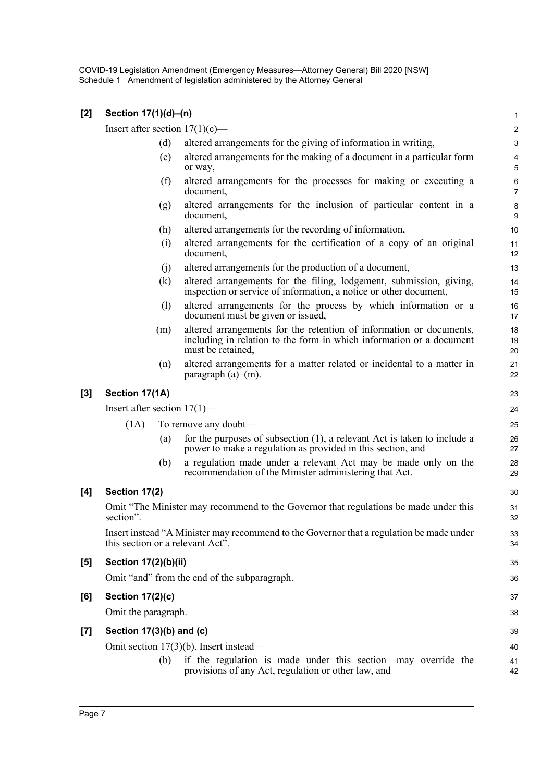COVID-19 Legislation Amendment (Emergency Measures—Attorney General) Bill 2020 [NSW] Schedule 1 Amendment of legislation administered by the Attorney General

| [2]   | Section 17(1)(d)-(n)           |     |                                                                                                                                                                  | $\mathbf 1$                  |
|-------|--------------------------------|-----|------------------------------------------------------------------------------------------------------------------------------------------------------------------|------------------------------|
|       |                                |     | Insert after section $17(1)(c)$ —                                                                                                                                | $\overline{c}$               |
|       |                                | (d) | altered arrangements for the giving of information in writing,                                                                                                   | $\mathbf{3}$                 |
|       |                                | (e) | altered arrangements for the making of a document in a particular form<br>or way,                                                                                | $\overline{\mathbf{4}}$<br>5 |
|       |                                | (f) | altered arrangements for the processes for making or executing a<br>document,                                                                                    | $\,6$<br>$\overline{7}$      |
|       |                                | (g) | altered arrangements for the inclusion of particular content in a<br>document,                                                                                   | 8<br>9                       |
|       |                                | (h) | altered arrangements for the recording of information,                                                                                                           | 10                           |
|       |                                | (i) | altered arrangements for the certification of a copy of an original<br>document,                                                                                 | 11<br>12                     |
|       |                                | (j) | altered arrangements for the production of a document,                                                                                                           | 13                           |
|       |                                | (k) | altered arrangements for the filing, lodgement, submission, giving,<br>inspection or service of information, a notice or other document,                         | 14<br>15                     |
|       |                                | (1) | altered arrangements for the process by which information or a<br>document must be given or issued,                                                              | 16<br>17                     |
|       |                                | (m) | altered arrangements for the retention of information or documents,<br>including in relation to the form in which information or a document<br>must be retained, | 18<br>19<br>20               |
|       |                                | (n) | altered arrangements for a matter related or incidental to a matter in<br>paragraph $(a)$ – $(m)$ .                                                              | 21<br>22                     |
| $[3]$ | Section 17(1A)                 |     |                                                                                                                                                                  | 23                           |
|       | Insert after section $17(1)$ — |     |                                                                                                                                                                  | 24                           |
|       | (1A)                           |     | To remove any doubt—                                                                                                                                             | 25                           |
|       |                                | (a) | for the purposes of subsection $(1)$ , a relevant Act is taken to include a<br>power to make a regulation as provided in this section, and                       | 26<br>27                     |
|       |                                | (b) | a regulation made under a relevant Act may be made only on the<br>recommendation of the Minister administering that Act.                                         | 28<br>29                     |
| [4]   | Section 17(2)                  |     |                                                                                                                                                                  | 30                           |
|       | section".                      |     | Omit "The Minister may recommend to the Governor that regulations be made under this                                                                             | 31<br>32                     |
|       |                                |     | Insert instead "A Minister may recommend to the Governor that a regulation be made under<br>this section or a relevant Act".                                     | 33<br>34                     |
| $[5]$ | Section 17(2)(b)(ii)           |     |                                                                                                                                                                  | 35                           |
|       |                                |     | Omit "and" from the end of the subparagraph.                                                                                                                     | 36                           |
| [6]   | <b>Section 17(2)(c)</b>        |     |                                                                                                                                                                  | 37                           |
|       | Omit the paragraph.            |     |                                                                                                                                                                  | 38                           |
| $[7]$ | Section $17(3)(b)$ and $(c)$   |     |                                                                                                                                                                  | 39                           |
|       |                                |     | Omit section $17(3)(b)$ . Insert instead—                                                                                                                        | 40                           |
|       |                                | (b) | if the regulation is made under this section-may override the<br>provisions of any Act, regulation or other law, and                                             | 41<br>42                     |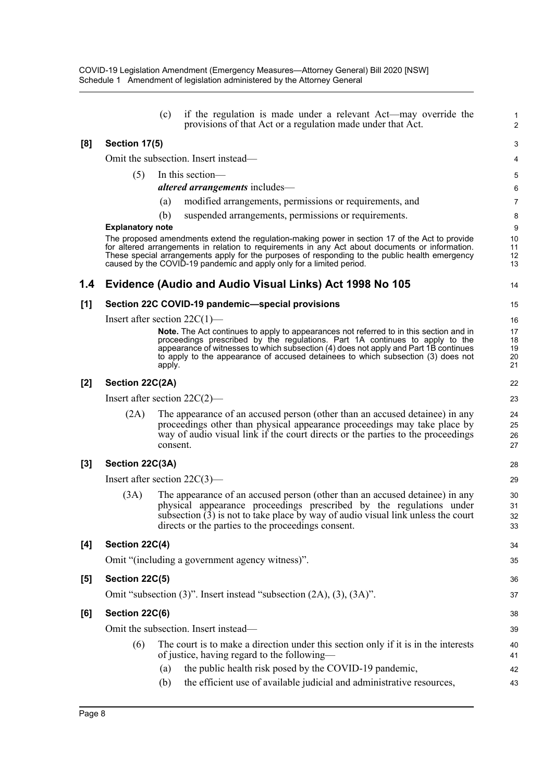|     |                                 | (c)      | if the regulation is made under a relevant Act—may override the<br>provisions of that Act or a regulation made under that Act.                                                                                                                                            | $\mathbf{1}$<br>$\overline{2}$ |
|-----|---------------------------------|----------|---------------------------------------------------------------------------------------------------------------------------------------------------------------------------------------------------------------------------------------------------------------------------|--------------------------------|
| [8] | Section 17(5)                   |          |                                                                                                                                                                                                                                                                           | 3                              |
|     |                                 |          | Omit the subsection. Insert instead—                                                                                                                                                                                                                                      | 4                              |
|     | (5)                             |          | In this section-                                                                                                                                                                                                                                                          | 5                              |
|     |                                 |          | <i>altered arrangements includes—</i>                                                                                                                                                                                                                                     | 6                              |
|     |                                 | (a)      | modified arrangements, permissions or requirements, and                                                                                                                                                                                                                   | $\overline{7}$                 |
|     |                                 | (b)      | suspended arrangements, permissions or requirements.                                                                                                                                                                                                                      | 8                              |
|     | <b>Explanatory note</b>         |          | The proposed amendments extend the regulation-making power in section 17 of the Act to provide                                                                                                                                                                            | 9<br>10                        |
|     |                                 |          | for altered arrangements in relation to requirements in any Act about documents or information.<br>These special arrangements apply for the purposes of responding to the public health emergency<br>caused by the COVID-19 pandemic and apply only for a limited period. | 11<br>12<br>13                 |
| 1.4 |                                 |          | Evidence (Audio and Audio Visual Links) Act 1998 No 105                                                                                                                                                                                                                   | 14                             |
| [1] |                                 |          | Section 22C COVID-19 pandemic-special provisions                                                                                                                                                                                                                          | 15                             |
|     | Insert after section $22C(1)$ — |          |                                                                                                                                                                                                                                                                           | 16                             |
|     |                                 |          | <b>Note.</b> The Act continues to apply to appearances not referred to in this section and in                                                                                                                                                                             | 17                             |
|     |                                 |          | proceedings prescribed by the regulations. Part 1A continues to apply to the<br>appearance of witnesses to which subsection (4) does not apply and Part 1B continues                                                                                                      | 18<br>19                       |
|     |                                 | apply.   | to apply to the appearance of accused detainees to which subsection (3) does not                                                                                                                                                                                          | 20<br>21                       |
| [2] | Section 22C(2A)                 |          |                                                                                                                                                                                                                                                                           | 22                             |
|     | Insert after section $22C(2)$ — |          |                                                                                                                                                                                                                                                                           | 23                             |
|     | (2A)                            |          | The appearance of an accused person (other than an accused detainee) in any                                                                                                                                                                                               | 24                             |
|     |                                 |          | proceedings other than physical appearance proceedings may take place by<br>way of audio visual link if the court directs or the parties to the proceedings                                                                                                               | 25<br>26                       |
|     |                                 | consent. |                                                                                                                                                                                                                                                                           | 27                             |
| [3] | Section 22C(3A)                 |          |                                                                                                                                                                                                                                                                           | 28                             |
|     | Insert after section $22C(3)$ — |          |                                                                                                                                                                                                                                                                           | 29                             |
|     | (3A)                            |          | The appearance of an accused person (other than an accused detainee) in any                                                                                                                                                                                               | 30                             |
|     |                                 |          | physical appearance proceedings prescribed by the regulations under<br>subsection (3) is not to take place by way of audio visual link unless the court                                                                                                                   | 31<br>32                       |
|     |                                 |          | directs or the parties to the proceedings consent.                                                                                                                                                                                                                        | 33                             |
| [4] | Section 22C(4)                  |          |                                                                                                                                                                                                                                                                           | 34                             |
|     |                                 |          | Omit "(including a government agency witness)".                                                                                                                                                                                                                           | 35                             |
| [5] | Section 22C(5)                  |          |                                                                                                                                                                                                                                                                           | 36                             |
|     |                                 |          | Omit "subsection (3)". Insert instead "subsection (2A), (3), (3A)".                                                                                                                                                                                                       | 37                             |
| [6] | Section 22C(6)                  |          |                                                                                                                                                                                                                                                                           | 38                             |
|     |                                 |          | Omit the subsection. Insert instead-                                                                                                                                                                                                                                      | 39                             |
|     | (6)                             |          | The court is to make a direction under this section only if it is in the interests                                                                                                                                                                                        | 40                             |
|     |                                 |          | of justice, having regard to the following—                                                                                                                                                                                                                               | 41                             |
|     |                                 | (a)      | the public health risk posed by the COVID-19 pandemic,                                                                                                                                                                                                                    | 42                             |
|     |                                 | (b)      | the efficient use of available judicial and administrative resources,                                                                                                                                                                                                     | 43                             |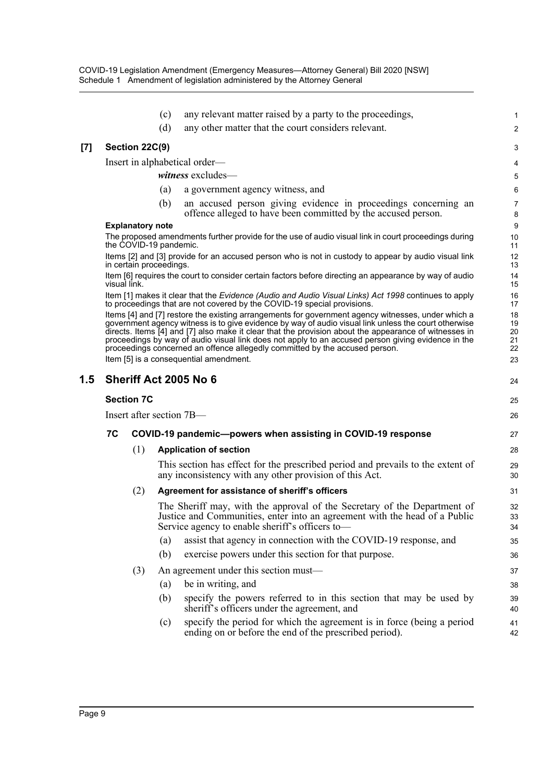|     |              |                         | (c) | any relevant matter raised by a party to the proceedings,                                                                                                                                                                                                                                                                                                                                                                                                                                                                                          | 1                                |
|-----|--------------|-------------------------|-----|----------------------------------------------------------------------------------------------------------------------------------------------------------------------------------------------------------------------------------------------------------------------------------------------------------------------------------------------------------------------------------------------------------------------------------------------------------------------------------------------------------------------------------------------------|----------------------------------|
|     |              |                         | (d) | any other matter that the court considers relevant.                                                                                                                                                                                                                                                                                                                                                                                                                                                                                                | 2                                |
| [7] |              | Section 22C(9)          |     |                                                                                                                                                                                                                                                                                                                                                                                                                                                                                                                                                    | 3                                |
|     |              |                         |     | Insert in alphabetical order—                                                                                                                                                                                                                                                                                                                                                                                                                                                                                                                      | 4                                |
|     |              |                         |     | witness excludes-                                                                                                                                                                                                                                                                                                                                                                                                                                                                                                                                  | 5                                |
|     |              |                         | (a) | a government agency witness, and                                                                                                                                                                                                                                                                                                                                                                                                                                                                                                                   | $6\phantom{1}6$                  |
|     |              |                         | (b) | an accused person giving evidence in proceedings concerning an<br>offence alleged to have been committed by the accused person.                                                                                                                                                                                                                                                                                                                                                                                                                    | $\overline{7}$<br>8              |
|     |              | <b>Explanatory note</b> |     |                                                                                                                                                                                                                                                                                                                                                                                                                                                                                                                                                    | 9                                |
|     |              | the COVID-19 pandemic.  |     | The proposed amendments further provide for the use of audio visual link in court proceedings during                                                                                                                                                                                                                                                                                                                                                                                                                                               | 10<br>11                         |
|     |              | in certain proceedings. |     | Items [2] and [3] provide for an accused person who is not in custody to appear by audio visual link                                                                                                                                                                                                                                                                                                                                                                                                                                               | 12<br>13                         |
|     | visual link. |                         |     | Item [6] requires the court to consider certain factors before directing an appearance by way of audio                                                                                                                                                                                                                                                                                                                                                                                                                                             | 14<br>15                         |
|     |              |                         |     | Item [1] makes it clear that the Evidence (Audio and Audio Visual Links) Act 1998 continues to apply<br>to proceedings that are not covered by the COVID-19 special provisions.                                                                                                                                                                                                                                                                                                                                                                    | 16<br>17                         |
|     |              |                         |     | Items [4] and [7] restore the existing arrangements for government agency witnesses, under which a<br>government agency witness is to give evidence by way of audio visual link unless the court otherwise<br>directs. Items [4] and [7] also make it clear that the provision about the appearance of witnesses in<br>proceedings by way of audio visual link does not apply to an accused person giving evidence in the<br>proceedings concerned an offence allegedly committed by the accused person.<br>Item [5] is a consequential amendment. | 18<br>19<br>20<br>21<br>22<br>23 |
| 1.5 |              |                         |     | Sheriff Act 2005 No 6                                                                                                                                                                                                                                                                                                                                                                                                                                                                                                                              | 24                               |
|     |              | <b>Section 7C</b>       |     |                                                                                                                                                                                                                                                                                                                                                                                                                                                                                                                                                    | 25                               |
|     |              |                         |     | Insert after section 7B—                                                                                                                                                                                                                                                                                                                                                                                                                                                                                                                           | 26                               |
|     | 7C           |                         |     | COVID-19 pandemic-powers when assisting in COVID-19 response                                                                                                                                                                                                                                                                                                                                                                                                                                                                                       | 27                               |
|     |              | (1)                     |     | <b>Application of section</b>                                                                                                                                                                                                                                                                                                                                                                                                                                                                                                                      | 28                               |
|     |              |                         |     | This section has effect for the prescribed period and prevails to the extent of<br>any inconsistency with any other provision of this Act.                                                                                                                                                                                                                                                                                                                                                                                                         | 29<br>30                         |
|     |              | (2)                     |     | Agreement for assistance of sheriff's officers                                                                                                                                                                                                                                                                                                                                                                                                                                                                                                     | 31                               |
|     |              |                         |     | The Sheriff may, with the approval of the Secretary of the Department of<br>Justice and Communities, enter into an agreement with the head of a Public<br>Service agency to enable sheriff's officers to-                                                                                                                                                                                                                                                                                                                                          | 32<br>33<br>34                   |
|     |              |                         | (a) | assist that agency in connection with the COVID-19 response, and                                                                                                                                                                                                                                                                                                                                                                                                                                                                                   | 35                               |
|     |              |                         | (b) | exercise powers under this section for that purpose.                                                                                                                                                                                                                                                                                                                                                                                                                                                                                               | 36                               |
|     |              | (3)                     |     | An agreement under this section must—                                                                                                                                                                                                                                                                                                                                                                                                                                                                                                              | 37                               |
|     |              |                         | (a) | be in writing, and                                                                                                                                                                                                                                                                                                                                                                                                                                                                                                                                 | 38                               |
|     |              |                         | (b) | specify the powers referred to in this section that may be used by<br>sheriff's officers under the agreement, and                                                                                                                                                                                                                                                                                                                                                                                                                                  | 39<br>40                         |
|     |              |                         | (c) | specify the period for which the agreement is in force (being a period<br>ending on or before the end of the prescribed period).                                                                                                                                                                                                                                                                                                                                                                                                                   | 41<br>42                         |
|     |              |                         |     |                                                                                                                                                                                                                                                                                                                                                                                                                                                                                                                                                    |                                  |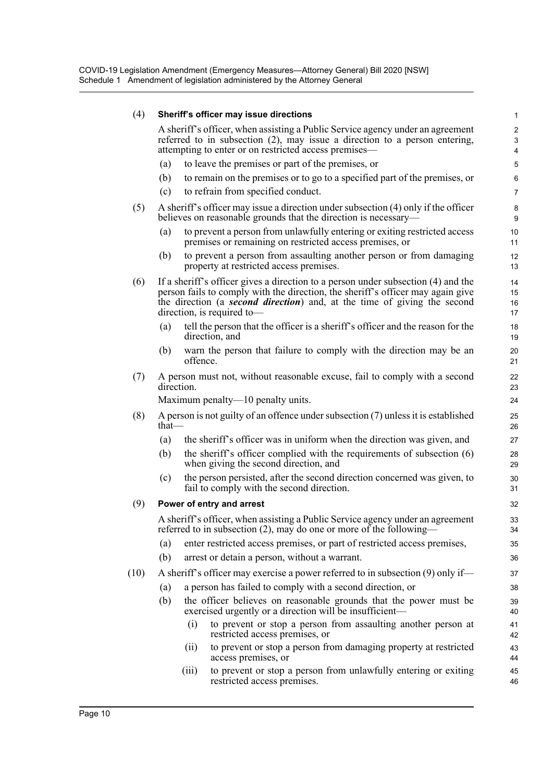| (4)  |          |            | Sheriff's officer may issue directions                                                                                                                                                                                                                                         | $\mathbf{1}$                        |
|------|----------|------------|--------------------------------------------------------------------------------------------------------------------------------------------------------------------------------------------------------------------------------------------------------------------------------|-------------------------------------|
|      |          |            | A sheriff's officer, when assisting a Public Service agency under an agreement<br>referred to in subsection $(2)$ , may issue a direction to a person entering,<br>attempting to enter or on restricted access premises—                                                       | 2<br>$\mathbf{3}$<br>$\overline{4}$ |
|      | (a)      |            | to leave the premises or part of the premises, or                                                                                                                                                                                                                              | 5                                   |
|      | (b)      |            | to remain on the premises or to go to a specified part of the premises, or                                                                                                                                                                                                     | 6                                   |
|      | (c)      |            | to refrain from specified conduct.                                                                                                                                                                                                                                             | $\overline{7}$                      |
| (5)  |          |            | A sheriff's officer may issue a direction under subsection (4) only if the officer<br>believes on reasonable grounds that the direction is necessary—                                                                                                                          | 8<br>9                              |
|      | (a)      |            | to prevent a person from unlawfully entering or exiting restricted access<br>premises or remaining on restricted access premises, or                                                                                                                                           | 10<br>11                            |
|      | (b)      |            | to prevent a person from assaulting another person or from damaging<br>property at restricted access premises.                                                                                                                                                                 | 12<br>13                            |
| (6)  |          |            | If a sheriff's officer gives a direction to a person under subsection (4) and the<br>person fails to comply with the direction, the sheriff's officer may again give<br>the direction (a second direction) and, at the time of giving the second<br>direction, is required to- | 14<br>15<br>16<br>17                |
|      | (a)      |            | tell the person that the officer is a sheriff's officer and the reason for the<br>direction, and                                                                                                                                                                               | 18<br>19                            |
|      | (b)      | offence.   | warn the person that failure to comply with the direction may be an                                                                                                                                                                                                            | 20<br>21                            |
| (7)  |          | direction. | A person must not, without reasonable excuse, fail to comply with a second                                                                                                                                                                                                     | 22<br>23                            |
|      |          |            | Maximum penalty-10 penalty units.                                                                                                                                                                                                                                              | 24                                  |
| (8)  | that $-$ |            | A person is not guilty of an offence under subsection $(7)$ unless it is established                                                                                                                                                                                           | 25<br>26                            |
|      | (a)      |            | the sheriff's officer was in uniform when the direction was given, and                                                                                                                                                                                                         | 27                                  |
|      | (b)      |            | the sheriff's officer complied with the requirements of subsection (6)<br>when giving the second direction, and                                                                                                                                                                | 28<br>29                            |
|      | (c)      |            | the person persisted, after the second direction concerned was given, to<br>fail to comply with the second direction.                                                                                                                                                          | 30<br>31                            |
| (9)  |          |            | Power of entry and arrest                                                                                                                                                                                                                                                      | 32                                  |
|      |          |            | A sheriff's officer, when assisting a Public Service agency under an agreement<br>referred to in subsection (2), may do one or more of the following—                                                                                                                          | 33<br>34                            |
|      | (a)      |            | enter restricted access premises, or part of restricted access premises,                                                                                                                                                                                                       | 35                                  |
|      | (b)      |            | arrest or detain a person, without a warrant.                                                                                                                                                                                                                                  | 36                                  |
| (10) |          |            | A sheriff's officer may exercise a power referred to in subsection (9) only if—                                                                                                                                                                                                | 37                                  |
|      | (a)      |            | a person has failed to comply with a second direction, or                                                                                                                                                                                                                      | 38                                  |
|      | (b)      |            | the officer believes on reasonable grounds that the power must be<br>exercised urgently or a direction will be insufficient—                                                                                                                                                   | 39<br>40                            |
|      |          | (i)        | to prevent or stop a person from assaulting another person at<br>restricted access premises, or                                                                                                                                                                                | 41<br>42                            |
|      |          | (ii)       | to prevent or stop a person from damaging property at restricted<br>access premises, or                                                                                                                                                                                        | 43<br>44                            |
|      |          | (iii)      | to prevent or stop a person from unlawfully entering or exiting<br>restricted access premises.                                                                                                                                                                                 | 45<br>46                            |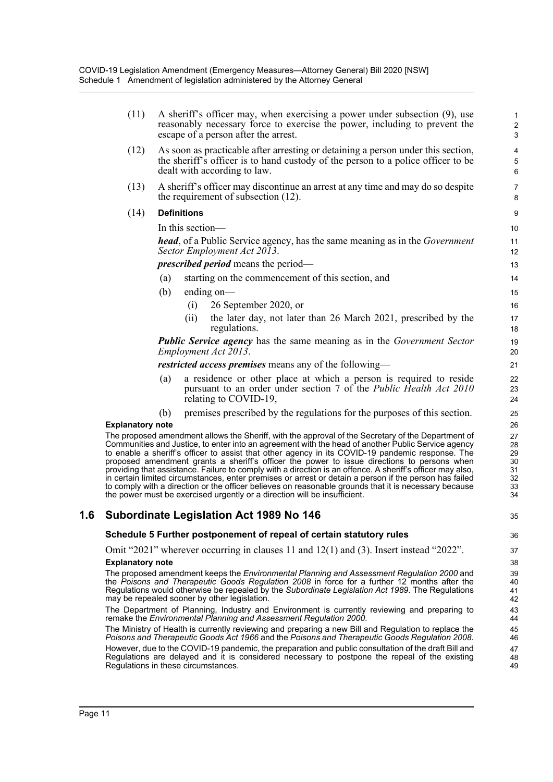|     | (11)                    | A sheriff's officer may, when exercising a power under subsection (9), use<br>reasonably necessary force to exercise the power, including to prevent the<br>escape of a person after the arrest.                                                                                                                                                                                                                                                                                                                                                                                                                                                                                                                                                                                                                          | $\mathbf{1}$<br>$\sqrt{2}$<br>3              |
|-----|-------------------------|---------------------------------------------------------------------------------------------------------------------------------------------------------------------------------------------------------------------------------------------------------------------------------------------------------------------------------------------------------------------------------------------------------------------------------------------------------------------------------------------------------------------------------------------------------------------------------------------------------------------------------------------------------------------------------------------------------------------------------------------------------------------------------------------------------------------------|----------------------------------------------|
|     | (12)                    | As soon as practicable after arresting or detaining a person under this section,<br>the sheriff's officer is to hand custody of the person to a police officer to be<br>dealt with according to law.                                                                                                                                                                                                                                                                                                                                                                                                                                                                                                                                                                                                                      | 4<br>$\mathbf 5$<br>$\,6\,$                  |
|     | (13)                    | A sheriff's officer may discontinue an arrest at any time and may do so despite<br>the requirement of subsection (12).                                                                                                                                                                                                                                                                                                                                                                                                                                                                                                                                                                                                                                                                                                    | $\overline{7}$<br>8                          |
|     | (14)                    | <b>Definitions</b>                                                                                                                                                                                                                                                                                                                                                                                                                                                                                                                                                                                                                                                                                                                                                                                                        | $\boldsymbol{9}$                             |
|     |                         | In this section-                                                                                                                                                                                                                                                                                                                                                                                                                                                                                                                                                                                                                                                                                                                                                                                                          | 10                                           |
|     |                         | <b>head</b> , of a Public Service agency, has the same meaning as in the <i>Government</i><br>Sector Employment Act 2013.                                                                                                                                                                                                                                                                                                                                                                                                                                                                                                                                                                                                                                                                                                 | 11<br>12                                     |
|     |                         | <i>prescribed period</i> means the period—                                                                                                                                                                                                                                                                                                                                                                                                                                                                                                                                                                                                                                                                                                                                                                                | 13                                           |
|     |                         | starting on the commencement of this section, and<br>(a)                                                                                                                                                                                                                                                                                                                                                                                                                                                                                                                                                                                                                                                                                                                                                                  | 14                                           |
|     |                         | (b)<br>ending on-                                                                                                                                                                                                                                                                                                                                                                                                                                                                                                                                                                                                                                                                                                                                                                                                         | 15                                           |
|     |                         | 26 September 2020, or<br>(i)                                                                                                                                                                                                                                                                                                                                                                                                                                                                                                                                                                                                                                                                                                                                                                                              | 16                                           |
|     |                         | the later day, not later than 26 March 2021, prescribed by the<br>(ii)<br>regulations.                                                                                                                                                                                                                                                                                                                                                                                                                                                                                                                                                                                                                                                                                                                                    | 17<br>18                                     |
|     |                         | <b>Public Service agency</b> has the same meaning as in the Government Sector<br>Employment Act 2013.                                                                                                                                                                                                                                                                                                                                                                                                                                                                                                                                                                                                                                                                                                                     | 19<br>20                                     |
|     |                         | <i>restricted access premises</i> means any of the following—                                                                                                                                                                                                                                                                                                                                                                                                                                                                                                                                                                                                                                                                                                                                                             | 21                                           |
|     |                         | a residence or other place at which a person is required to reside<br>(a)<br>pursuant to an order under section 7 of the <i>Public Health Act 2010</i><br>relating to COVID-19,                                                                                                                                                                                                                                                                                                                                                                                                                                                                                                                                                                                                                                           | 22<br>23<br>24                               |
|     |                         | premises prescribed by the regulations for the purposes of this section.<br>(b)                                                                                                                                                                                                                                                                                                                                                                                                                                                                                                                                                                                                                                                                                                                                           | 25                                           |
|     | <b>Explanatory note</b> |                                                                                                                                                                                                                                                                                                                                                                                                                                                                                                                                                                                                                                                                                                                                                                                                                           | 26                                           |
|     |                         | The proposed amendment allows the Sheriff, with the approval of the Secretary of the Department of<br>Communities and Justice, to enter into an agreement with the head of another Public Service agency<br>to enable a sheriff's officer to assist that other agency in its COVID-19 pandemic response. The<br>proposed amendment grants a sheriff's officer the power to issue directions to persons when<br>providing that assistance. Failure to comply with a direction is an offence. A sheriff's officer may also,<br>in certain limited circumstances, enter premises or arrest or detain a person if the person has failed<br>to comply with a direction or the officer believes on reasonable grounds that it is necessary because<br>the power must be exercised urgently or a direction will be insufficient. | 27<br>28<br>29<br>30<br>31<br>32<br>33<br>34 |
| 1.6 |                         | <b>Subordinate Legislation Act 1989 No 146</b>                                                                                                                                                                                                                                                                                                                                                                                                                                                                                                                                                                                                                                                                                                                                                                            | 35                                           |
|     |                         | Schedule 5 Further postponement of repeal of certain statutory rules                                                                                                                                                                                                                                                                                                                                                                                                                                                                                                                                                                                                                                                                                                                                                      | 36                                           |
|     |                         | Omit "2021" wherever occurring in clauses 11 and $12(1)$ and $(3)$ . Insert instead "2022".                                                                                                                                                                                                                                                                                                                                                                                                                                                                                                                                                                                                                                                                                                                               | 37                                           |
|     | <b>Explanatory note</b> |                                                                                                                                                                                                                                                                                                                                                                                                                                                                                                                                                                                                                                                                                                                                                                                                                           | 38                                           |
|     |                         | The proposed amendment keeps the Environmental Planning and Assessment Regulation 2000 and<br>the Poisons and Therapeutic Goods Regulation 2008 in force for a further 12 months after the<br>Regulations would otherwise be repealed by the Subordinate Legislation Act 1989. The Regulations<br>may be repealed sooner by other legislation.                                                                                                                                                                                                                                                                                                                                                                                                                                                                            | 39<br>40<br>41<br>42                         |
|     |                         | The Department of Planning, Industry and Environment is currently reviewing and preparing to<br>remake the Environmental Planning and Assessment Regulation 2000.                                                                                                                                                                                                                                                                                                                                                                                                                                                                                                                                                                                                                                                         | 43<br>44                                     |
|     |                         | The Ministry of Health is currently reviewing and preparing a new Bill and Regulation to replace the<br>Poisons and Therapeutic Goods Act 1966 and the Poisons and Therapeutic Goods Regulation 2008.                                                                                                                                                                                                                                                                                                                                                                                                                                                                                                                                                                                                                     | 45<br>46                                     |
|     |                         | However, due to the COVID-19 pandemic, the preparation and public consultation of the draft Bill and<br>Regulations are delayed and it is considered necessary to postpone the repeal of the existing<br>Regulations in these circumstances.                                                                                                                                                                                                                                                                                                                                                                                                                                                                                                                                                                              | 47<br>48<br>49                               |